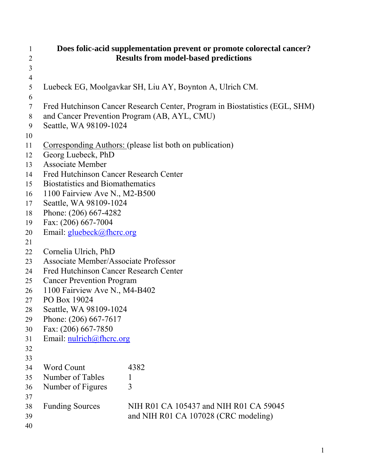| 1<br>2         | Does folic-acid supplementation prevent or promote colorectal cancer?<br><b>Results from model-based predictions</b> |                                                                             |  |  |  |  |
|----------------|----------------------------------------------------------------------------------------------------------------------|-----------------------------------------------------------------------------|--|--|--|--|
| 3              |                                                                                                                      |                                                                             |  |  |  |  |
| $\overline{4}$ |                                                                                                                      |                                                                             |  |  |  |  |
| 5              |                                                                                                                      | Luebeck EG, Moolgavkar SH, Liu AY, Boynton A, Ulrich CM.                    |  |  |  |  |
| 6              |                                                                                                                      |                                                                             |  |  |  |  |
| 7              |                                                                                                                      | Fred Hutchinson Cancer Research Center, Program in Biostatistics (EGL, SHM) |  |  |  |  |
| 8              | and Cancer Prevention Program (AB, AYL, CMU)                                                                         |                                                                             |  |  |  |  |
| 9              | Seattle, WA 98109-1024                                                                                               |                                                                             |  |  |  |  |
| 10             |                                                                                                                      |                                                                             |  |  |  |  |
| 11             | Corresponding Authors: (please list both on publication)                                                             |                                                                             |  |  |  |  |
| 12<br>13       | Georg Luebeck, PhD                                                                                                   |                                                                             |  |  |  |  |
| 14             | <b>Associate Member</b><br>Fred Hutchinson Cancer Research Center                                                    |                                                                             |  |  |  |  |
| 15             | <b>Biostatistics and Biomathematics</b>                                                                              |                                                                             |  |  |  |  |
| 16             | 1100 Fairview Ave N., M2-B500                                                                                        |                                                                             |  |  |  |  |
| 17             | Seattle, WA 98109-1024                                                                                               |                                                                             |  |  |  |  |
| 18             | Phone: (206) 667-4282                                                                                                |                                                                             |  |  |  |  |
| 19             | Fax: (206) 667-7004                                                                                                  |                                                                             |  |  |  |  |
| 20             | Email: gluebeck@fhcrc.org                                                                                            |                                                                             |  |  |  |  |
| 21             |                                                                                                                      |                                                                             |  |  |  |  |
| 22             | Cornelia Ulrich, PhD                                                                                                 |                                                                             |  |  |  |  |
| 23             | Associate Member/Associate Professor                                                                                 |                                                                             |  |  |  |  |
| 24             | <b>Fred Hutchinson Cancer Research Center</b>                                                                        |                                                                             |  |  |  |  |
| 25             | <b>Cancer Prevention Program</b>                                                                                     |                                                                             |  |  |  |  |
| 26             | 1100 Fairview Ave N., M4-B402                                                                                        |                                                                             |  |  |  |  |
| 27             | PO Box 19024                                                                                                         |                                                                             |  |  |  |  |
| 28             | Seattle, WA 98109-1024                                                                                               |                                                                             |  |  |  |  |
| 29             | Phone: (206) 667-7617                                                                                                |                                                                             |  |  |  |  |
| 30             | Fax: (206) 667-7850                                                                                                  |                                                                             |  |  |  |  |
| 31             | Email: nulrich@fhcrc.org                                                                                             |                                                                             |  |  |  |  |
| 32<br>33       |                                                                                                                      |                                                                             |  |  |  |  |
| 34             | <b>Word Count</b>                                                                                                    | 4382                                                                        |  |  |  |  |
| 35             | Number of Tables                                                                                                     | $\mathbf{I}$                                                                |  |  |  |  |
| 36             | Number of Figures                                                                                                    | 3                                                                           |  |  |  |  |
| 37             |                                                                                                                      |                                                                             |  |  |  |  |
| 38             | <b>Funding Sources</b>                                                                                               | NIH R01 CA 105437 and NIH R01 CA 59045                                      |  |  |  |  |
| 39             |                                                                                                                      | and NIH R01 CA 107028 (CRC modeling)                                        |  |  |  |  |
| 40             |                                                                                                                      |                                                                             |  |  |  |  |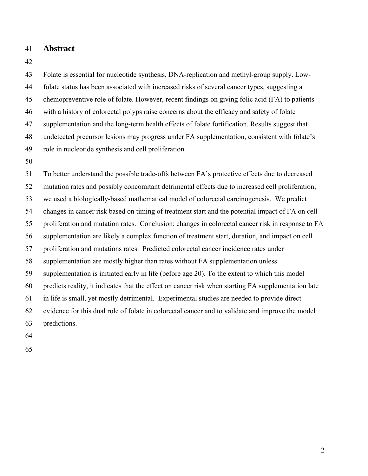41 **Abstract** 

42

43 44 45 46 47 48 49 Folate is essential for nucleotide synthesis, DNA-replication and methyl-group supply. Lowfolate status has been associated with increased risks of several cancer types, suggesting a chemopreventive role of folate. However, recent findings on giving folic acid (FA) to patients with a history of colorectal polyps raise concerns about the efficacy and safety of folate supplementation and the long-term health effects of folate fortification. Results suggest that undetected precursor lesions may progress under FA supplementation, consistent with folate's role in nucleotide synthesis and cell proliferation.

50

51 52 53 54 55 56 57 58 59 60 61 62 63 To better understand the possible trade-offs between FA's protective effects due to decreased mutation rates and possibly concomitant detrimental effects due to increased cell proliferation, we used a biologically-based mathematical model of colorectal carcinogenesis. We predict changes in cancer risk based on timing of treatment start and the potential impact of FA on cell proliferation and mutation rates. Conclusion: changes in colorectal cancer risk in response to FA supplementation are likely a complex function of treatment start, duration, and impact on cell proliferation and mutations rates. Predicted colorectal cancer incidence rates under supplementation are mostly higher than rates without FA supplementation unless supplementation is initiated early in life (before age 20). To the extent to which this model predicts reality, it indicates that the effect on cancer risk when starting FA supplementation late in life is small, yet mostly detrimental. Experimental studies are needed to provide direct evidence for this dual role of folate in colorectal cancer and to validate and improve the model predictions.

- 64
- 65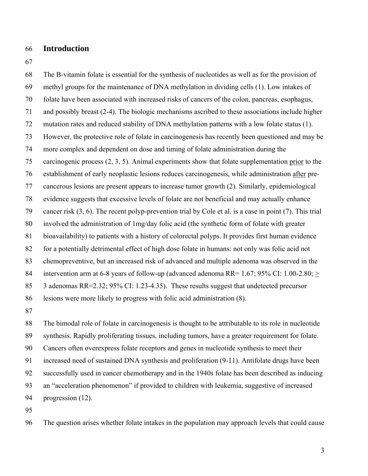## 66 **Introduction**

67

68 69 70 71 72 73 74 The B-vitamin folate is essential for the synthesis of nucleotides as well as for the provision of methyl groups for the maintenance of DNA methylation in dividing cells (1). Low intakes of folate have been associated with increased risks of cancers of the colon, pancreas, esophagus, and possibly breast (2-4). The biologic mechanisms ascribed to these associations include higher mutation rates and reduced stability of DNA methylation patterns with a low folate status (1). However, the protective role of folate in carcinogenesis has recently been questioned and may be more complex and dependent on dose and timing of folate administration during the carcinogenic process (2, 3, 5). Animal experiments show that folate supplementation prior to the establishment of early neoplastic lesions reduces carcinogenesis, while administration after pre-75 cancerous lesions are present appears to increase tumor growth (2). Similarly, epidemiological evidence suggests that excessive levels of folate are not beneficial and may actually enhance cancer risk (3, 6). The recent polyp-prevention trial by Cole et al. is a case in point (7). This trial involved the administration of 1mg/day folic acid (the synthetic form of folate with greater bioavailability) to patients with a history of colorectal polyps. It provides first human evidence for a potentially detrimental effect of high dose folate in humans: not only was folic acid not chemopreventive, but an increased risk of advanced and multiple adenoma was observed in the intervention arm at 6-8 years of follow-up (advanced adenoma RR= 1.67; 95% CI: 1.00-2.80;  $\geq$ 76 77 78 79 80 81 82 83 3 adenomas RR=2.32; 95% CI: 1.23-4.35). These results suggest that undetected precursor lesions were more likely to progress with folic acid administration (8). 84 85 86

87

88 89 90 91 92 93 94 The bimodal role of folate in carcinogenesis is thought to be attributable to its role in nucleotide synthesis. Rapidly proliferating tissues, including tumors, have a greater requirement for folate. Cancers often overexpress folate receptors and genes in nucleotide synthesis to meet their increased need of sustained DNA synthesis and proliferation (9-11). Antifolate drugs have been successfully used in cancer chemotherapy and in the 1940s folate has been described as inducing an "acceleration phenomenon" if provided to children with leukemia, suggestive of increased progression (12).

95

96 The question arises whether folate intakes in the population may approach levels that could cause

3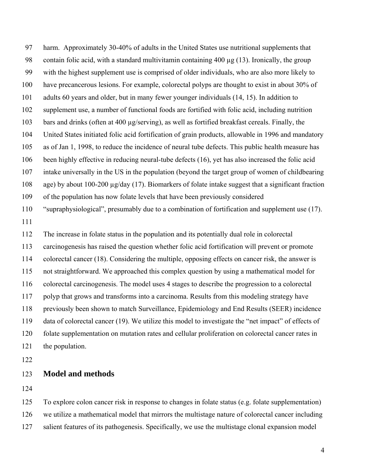97 98 99 100 101 102 103 104 105 106 107 108 109 110 111 112 113 114 115 harm. Approximately 30-40% of adults in the United States use nutritional supplements that contain folic acid, with a standard multivitamin containing 400 µg (13). Ironically, the group with the highest supplement use is comprised of older individuals, who are also more likely to have precancerous lesions. For example, colorectal polyps are thought to exist in about 30% of adults 60 years and older, but in many fewer younger individuals (14, 15). In addition to supplement use, a number of functional foods are fortified with folic acid, including nutrition bars and drinks (often at 400 µg/serving), as well as fortified breakfast cereals. Finally, the United States initiated folic acid fortification of grain products, allowable in 1996 and mandatory as of Jan 1, 1998, to reduce the incidence of neural tube defects. This public health measure has been highly effective in reducing neural-tube defects (16), yet has also increased the folic acid intake universally in the US in the population (beyond the target group of women of childbearing age) by about 100-200 µg/day (17). Biomarkers of folate intake suggest that a significant fraction of the population has now folate levels that have been previously considered "supraphysiological", presumably due to a combination of fortification and supplement use (17). The increase in folate status in the population and its potentially dual role in colorectal carcinogenesis has raised the question whether folic acid fortification will prevent or promote colorectal cancer (18). Considering the multiple, opposing effects on cancer risk, the answer is not straightforward. We approached this complex question by using a mathematical model for

116 117 colorectal carcinogenesis. The model uses 4 stages to describe the progression to a colorectal polyp that grows and transforms into a carcinoma. Results from this modeling strategy have

118 previously been shown to match Surveillance, Epidemiology and End Results (SEER) incidence

119 data of colorectal cancer (19). We utilize this model to investigate the "net impact" of effects of

120 121 folate supplementation on mutation rates and cellular proliferation on colorectal cancer rates in the population.

122

## 123 **Model and methods**

124

125 126 127 To explore colon cancer risk in response to changes in folate status (e.g. folate supplementation) we utilize a mathematical model that mirrors the multistage nature of colorectal cancer including salient features of its pathogenesis. Specifically, we use the multistage clonal expansion model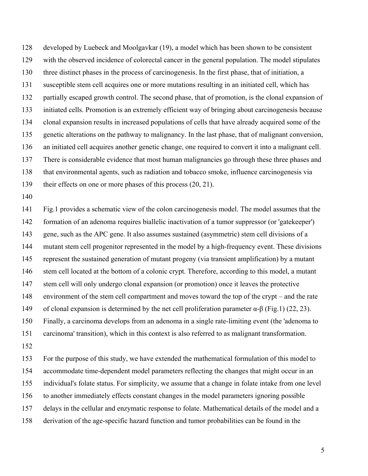128 129 130 131 132 133 134 135 136 137 138 139 developed by Luebeck and Moolgavkar (19), a model which has been shown to be consistent with the observed incidence of colorectal cancer in the general population. The model stipulates three distinct phases in the process of carcinogenesis. In the first phase, that of initiation, a susceptible stem cell acquires one or more mutations resulting in an initiated cell, which has partially escaped growth control. The second phase, that of promotion, is the clonal expansion of initiated cells. Promotion is an extremely efficient way of bringing about carcinogenesis because clonal expansion results in increased populations of cells that have already acquired some of the genetic alterations on the pathway to malignancy. In the last phase, that of malignant conversion, an initiated cell acquires another genetic change, one required to convert it into a malignant cell. There is considerable evidence that most human malignancies go through these three phases and that environmental agents, such as radiation and tobacco smoke, influence carcinogenesis via their effects on one or more phases of this process (20, 21).

140

141 142 143 144 145 146 147 148 149 150 151 152 Fig.1 provides a schematic view of the colon carcinogenesis model. The model assumes that the formation of an adenoma requires biallelic inactivation of a tumor suppressor (or 'gatekeeper') gene, such as the APC gene. It also assumes sustained (asymmetric) stem cell divisions of a mutant stem cell progenitor represented in the model by a high-frequency event. These divisions represent the sustained generation of mutant progeny (via transient amplification) by a mutant stem cell located at the bottom of a colonic crypt. Therefore, according to this model, a mutant stem cell will only undergo clonal expansion (or promotion) once it leaves the protective environment of the stem cell compartment and moves toward the top of the crypt – and the rate of clonal expansion is determined by the net cell proliferation parameter α-β (Fig.1) (22, 23). Finally, a carcinoma develops from an adenoma in a single rate-limiting event (the 'adenoma to carcinoma' transition), which in this context is also referred to as malignant transformation.

153 154 155 156 157 158 For the purpose of this study, we have extended the mathematical formulation of this model to accommodate time-dependent model parameters reflecting the changes that might occur in an individual's folate status. For simplicity, we assume that a change in folate intake from one level to another immediately effects constant changes in the model parameters ignoring possible delays in the cellular and enzymatic response to folate. Mathematical details of the model and a derivation of the age-specific hazard function and tumor probabilities can be found in the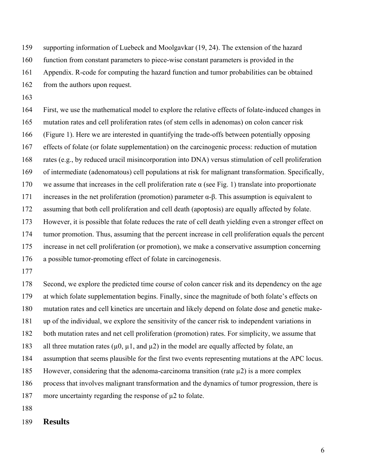159 supporting information of Luebeck and Moolgavkar (19, 24). The extension of the hazard

160 function from constant parameters to piece-wise constant parameters is provided in the

161 Appendix. R-code for computing the hazard function and tumor probabilities can be obtained

162 from the authors upon request.

163

164 165 166 167 168 169 170 171 172 173 174 175 176 First, we use the mathematical model to explore the relative effects of folate-induced changes in mutation rates and cell proliferation rates (of stem cells in adenomas) on colon cancer risk (Figure 1). Here we are interested in quantifying the trade-offs between potentially opposing effects of folate (or folate supplementation) on the carcinogenic process: reduction of mutation rates (e.g., by reduced uracil misincorporation into DNA) versus stimulation of cell proliferation of intermediate (adenomatous) cell populations at risk for malignant transformation. Specifically, we assume that increases in the cell proliferation rate  $\alpha$  (see Fig. 1) translate into proportionate increases in the net proliferation (promotion) parameter α-β. This assumption is equivalent to assuming that both cell proliferation and cell death (apoptosis) are equally affected by folate. However, it is possible that folate reduces the rate of cell death yielding even a stronger effect on tumor promotion. Thus, assuming that the percent increase in cell proliferation equals the percent increase in net cell proliferation (or promotion), we make a conservative assumption concerning a possible tumor-promoting effect of folate in carcinogenesis.

177

178 179 180 181 182 183 184 185 186 187 188 Second, we explore the predicted time course of colon cancer risk and its dependency on the age at which folate supplementation begins. Finally, since the magnitude of both folate's effects on mutation rates and cell kinetics are uncertain and likely depend on folate dose and genetic makeup of the individual, we explore the sensitivity of the cancer risk to independent variations in both mutation rates and net cell proliferation (promotion) rates. For simplicity, we assume that all three mutation rates ( $\mu$ 0,  $\mu$ 1, and  $\mu$ 2) in the model are equally affected by folate, an assumption that seems plausible for the first two events representing mutations at the APC locus. However, considering that the adenoma-carcinoma transition (rate  $\mu$ 2) is a more complex process that involves malignant transformation and the dynamics of tumor progression, there is more uncertainty regarding the response of  $\mu$ 2 to folate.

189 **Results**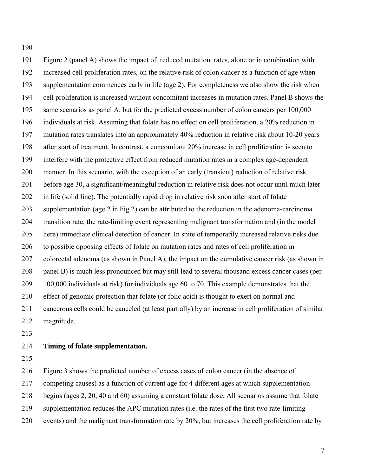190

191 192 193 194 195 196 197 198 199 200 201 202 203 204 205 206 207 208 209 210 211 212 Figure 2 (panel A) shows the impact of reduced mutation rates, alone or in combination with increased cell proliferation rates, on the relative risk of colon cancer as a function of age when supplementation commences early in life (age 2). For completeness we also show the risk when cell proliferation is increased without concomitant increases in mutation rates. Panel B shows the same scenarios as panel A, but for the predicted excess number of colon cancers per 100,000 individuals at risk. Assuming that folate has no effect on cell proliferation, a 20% reduction in mutation rates translates into an approximately 40% reduction in relative risk about 10-20 years after start of treatment. In contrast, a concomitant 20% increase in cell proliferation is seen to interfere with the protective effect from reduced mutation rates in a complex age-dependent manner. In this scenario, with the exception of an early (transient) reduction of relative risk before age 30, a significant/meaningful reduction in relative risk does not occur until much later in life (solid line). The potentially rapid drop in relative risk soon after start of folate supplementation (age 2 in Fig.2) can be attributed to the reduction in the adenoma-carcinoma transition rate, the rate-limiting event representing malignant transformation and (in the model here) immediate clinical detection of cancer. In spite of temporarily increased relative risks due to possible opposing effects of folate on mutation rates and rates of cell proliferation in colorectal adenoma (as shown in Panel A), the impact on the cumulative cancer risk (as shown in panel B) is much less pronounced but may still lead to several thousand excess cancer cases (per 100,000 individuals at risk) for individuals age 60 to 70. This example demonstrates that the effect of genomic protection that folate (or folic acid) is thought to exert on normal and cancerous cells could be canceled (at least partially) by an increase in cell proliferation of similar magnitude.

213

#### 214 **Timing of folate supplementation.**

215

216 Figure 3 shows the predicted number of excess cases of colon cancer (in the absence of

217 competing causes) as a function of current age for 4 different ages at which supplementation

218 begins (ages 2, 20, 40 and 60) assuming a constant folate dose. All scenarios assume that folate

- 219 supplementation reduces the APC mutation rates (i.e. the rates of the first two rate-limiting
- 220 events) and the malignant transformation rate by 20%, but increases the cell proliferation rate by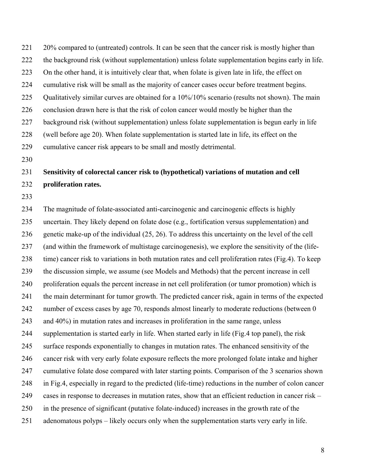221 222 223 224 225 226 227 228 229 20% compared to (untreated) controls. It can be seen that the cancer risk is mostly higher than the background risk (without supplementation) unless folate supplementation begins early in life. On the other hand, it is intuitively clear that, when folate is given late in life, the effect on cumulative risk will be small as the majority of cancer cases occur before treatment begins. Qualitatively similar curves are obtained for a 10%/10% scenario (results not shown). The main conclusion drawn here is that the risk of colon cancer would mostly be higher than the background risk (without supplementation) unless folate supplementation is begun early in life (well before age 20). When folate supplementation is started late in life, its effect on the cumulative cancer risk appears to be small and mostly detrimental.

230

## 231 232 **Sensitivity of colorectal cancer risk to (hypothetical) variations of mutation and cell proliferation rates.**

233

234 235 236 237 238 239 240 241 242 243 244 245 246 247 248 249 250 251 The magnitude of folate-associated anti-carcinogenic and carcinogenic effects is highly uncertain. They likely depend on folate dose (e.g., fortification versus supplementation) and genetic make-up of the individual (25, 26). To address this uncertainty on the level of the cell (and within the framework of multistage carcinogenesis), we explore the sensitivity of the (lifetime) cancer risk to variations in both mutation rates and cell proliferation rates (Fig.4). To keep the discussion simple, we assume (see Models and Methods) that the percent increase in cell proliferation equals the percent increase in net cell proliferation (or tumor promotion) which is the main determinant for tumor growth. The predicted cancer risk, again in terms of the expected number of excess cases by age 70, responds almost linearly to moderate reductions (between 0 and 40%) in mutation rates and increases in proliferation in the same range, unless supplementation is started early in life. When started early in life (Fig.4 top panel), the risk surface responds exponentially to changes in mutation rates. The enhanced sensitivity of the cancer risk with very early folate exposure reflects the more prolonged folate intake and higher cumulative folate dose compared with later starting points. Comparison of the 3 scenarios shown in Fig.4, especially in regard to the predicted (life-time) reductions in the number of colon cancer cases in response to decreases in mutation rates, show that an efficient reduction in cancer risk – in the presence of significant (putative folate-induced) increases in the growth rate of the adenomatous polyps – likely occurs only when the supplementation starts very early in life.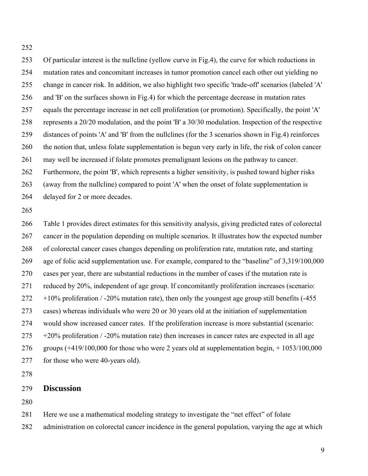252

253 254 255 256 257 258 259 260 261 262 263 264 265 266 267 268 269 270 271 272 273 274 275 276 277 Of particular interest is the nullcline (yellow curve in Fig.4), the curve for which reductions in mutation rates and concomitant increases in tumor promotion cancel each other out yielding no change in cancer risk. In addition, we also highlight two specific 'trade-off' scenarios (labeled 'A' and 'B' on the surfaces shown in Fig.4) for which the percentage decrease in mutation rates equals the percentage increase in net cell proliferation (or promotion). Specifically, the point 'A' represents a 20/20 modulation, and the point 'B' a 30/30 modulation. Inspection of the respective distances of points 'A' and 'B' from the nullclines (for the 3 scenarios shown in Fig.4) reinforces the notion that, unless folate supplementation is begun very early in life, the risk of colon cancer may well be increased if folate promotes premalignant lesions on the pathway to cancer. Furthermore, the point 'B', which represents a higher sensitivity, is pushed toward higher risks (away from the nullcline) compared to point 'A' when the onset of folate supplementation is delayed for 2 or more decades. Table 1 provides direct estimates for this sensitivity analysis, giving predicted rates of colorectal cancer in the population depending on multiple scenarios. It illustrates how the expected number of colorectal cancer cases changes depending on proliferation rate, mutation rate, and starting age of folic acid supplementation use. For example, compared to the "baseline" of 3,319/100,000 cases per year, there are substantial reductions in the number of cases if the mutation rate is reduced by 20%, independent of age group. If concomitantly proliferation increases (scenario:  $+10\%$  proliferation / -20% mutation rate), then only the youngest age group still benefits (-455) cases) whereas individuals who were 20 or 30 years old at the initiation of supplementation would show increased cancer rates. If the proliferation increase is more substantial (scenario:  $+20\%$  proliferation / -20% mutation rate) then increases in cancer rates are expected in all age groups  $(+419/100,000$  for those who were 2 years old at supplementation begin,  $+ 1053/100,000$ for those who were 40-years old).

278

### 279 **Discussion**

280

- 281 Here we use a mathematical modeling strategy to investigate the "net effect" of folate
- 282 administration on colorectal cancer incidence in the general population, varying the age at which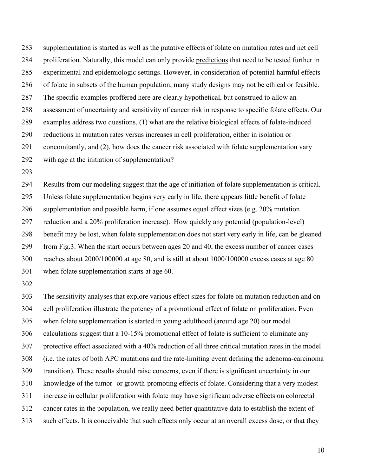supplementation is started as well as the putative effects of folate on mutation rates and net cell proliferation. Naturally, this model can only provide predictions that need to be tested further in 283 experimental and epidemiologic settings. However, in consideration of potential harmful effects of folate in subsets of the human population, many study designs may not be ethical or feasible. The specific examples proffered here are clearly hypothetical, but construed to allow an assessment of uncertainty and sensitivity of cancer risk in response to specific folate effects. Our examples address two questions, (1) what are the relative biological effects of folate-induced reductions in mutation rates versus increases in cell proliferation, either in isolation or concomitantly, and (2), how does the cancer risk associated with folate supplementation vary with age at the initiation of supplementation? 284 285 286 287 288 289 290 291 292

293

294 295 296 297 298 299 300 301 Results from our modeling suggest that the age of initiation of folate supplementation is critical. Unless folate supplementation begins very early in life, there appears little benefit of folate supplementation and possible harm, if one assumes equal effect sizes (e.g. 20% mutation reduction and a 20% proliferation increase). How quickly any potential (population-level) benefit may be lost, when folate supplementation does not start very early in life, can be gleaned from Fig.3. When the start occurs between ages 20 and 40, the excess number of cancer cases reaches about 2000/100000 at age 80, and is still at about 1000/100000 excess cases at age 80 when folate supplementation starts at age 60.

302

303 304 305 306 307 308 309 310 311 312 313 The sensitivity analyses that explore various effect sizes for folate on mutation reduction and on cell proliferation illustrate the potency of a promotional effect of folate on proliferation. Even when folate supplementation is started in young adulthood (around age 20) our model calculations suggest that a 10-15% promotional effect of folate is sufficient to eliminate any protective effect associated with a 40% reduction of all three critical mutation rates in the model (i.e. the rates of both APC mutations and the rate-limiting event defining the adenoma-carcinoma transition). These results should raise concerns, even if there is significant uncertainty in our knowledge of the tumor- or growth-promoting effects of folate. Considering that a very modest increase in cellular proliferation with folate may have significant adverse effects on colorectal cancer rates in the population, we really need better quantitative data to establish the extent of such effects. It is conceivable that such effects only occur at an overall excess dose, or that they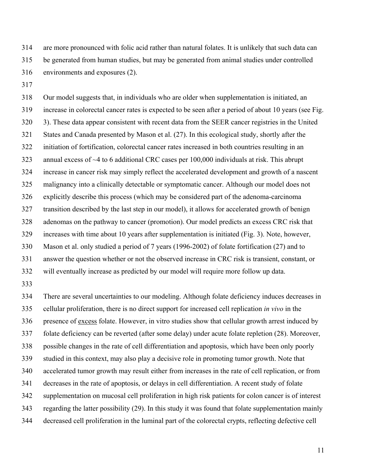314 315 316 are more pronounced with folic acid rather than natural folates. It is unlikely that such data can be generated from human studies, but may be generated from animal studies under controlled environments and exposures (2).

317

318 319 320 321 322 323 324 325 326 327 328 329 330 331 332 Our model suggests that, in individuals who are older when supplementation is initiated, an increase in colorectal cancer rates is expected to be seen after a period of about 10 years (see Fig. 3). These data appear consistent with recent data from the SEER cancer registries in the United States and Canada presented by Mason et al. (27). In this ecological study, shortly after the initiation of fortification, colorectal cancer rates increased in both countries resulting in an annual excess of  $\sim$ 4 to 6 additional CRC cases per 100,000 individuals at risk. This abrupt increase in cancer risk may simply reflect the accelerated development and growth of a nascent malignancy into a clinically detectable or symptomatic cancer. Although our model does not explicitly describe this process (which may be considered part of the adenoma-carcinoma transition described by the last step in our model), it allows for accelerated growth of benign adenomas on the pathway to cancer (promotion). Our model predicts an excess CRC risk that increases with time about 10 years after supplementation is initiated (Fig. 3). Note, however, Mason et al. only studied a period of 7 years (1996-2002) of folate fortification (27) and to answer the question whether or not the observed increase in CRC risk is transient, constant, or will eventually increase as predicted by our model will require more follow up data.

333

334 335 There are several uncertainties to our modeling. Although folate deficiency induces decreases in cellular proliferation, there is no direct support for increased cell replication *in vivo* in the presence of excess folate. However, in vitro studies show that cellular growth arrest induced by folate deficiency can be reverted (after some delay) under acute folate repletion (28). Moreover, possible changes in the rate of cell differentiation and apoptosis, which have been only poorly studied in this context, may also play a decisive role in promoting tumor growth. Note that accelerated tumor growth may result either from increases in the rate of cell replication, or from decreases in the rate of apoptosis, or delays in cell differentiation. A recent study of folate supplementation on mucosal cell proliferation in high risk patients for colon cancer is of interest regarding the latter possibility (29). In this study it was found that folate supplementation mainly decreased cell proliferation in the luminal part of the colorectal crypts, reflecting defective cell 336 337 338 339 340 341 342 343 344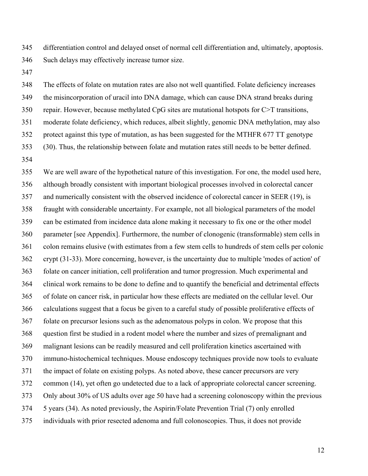345 346 differentiation control and delayed onset of normal cell differentiation and, ultimately, apoptosis. Such delays may effectively increase tumor size.

347

348 349 350 351 352 353 354 The effects of folate on mutation rates are also not well quantified. Folate deficiency increases the misincorporation of uracil into DNA damage, which can cause DNA strand breaks during repair. However, because methylated CpG sites are mutational hotspots for C>T transitions, moderate folate deficiency, which reduces, albeit slightly, genomic DNA methylation, may also protect against this type of mutation, as has been suggested for the MTHFR 677 TT genotype (30). Thus, the relationship between folate and mutation rates still needs to be better defined.

355 356 357 358 359 360 361 362 363 364 365 366 367 368 369 370 371 372 373 374 375 We are well aware of the hypothetical nature of this investigation. For one, the model used here, although broadly consistent with important biological processes involved in colorectal cancer and numerically consistent with the observed incidence of colorectal cancer in SEER (19), is fraught with considerable uncertainty. For example, not all biological parameters of the model can be estimated from incidence data alone making it necessary to fix one or the other model parameter [see Appendix]. Furthermore, the number of clonogenic (transformable) stem cells in colon remains elusive (with estimates from a few stem cells to hundreds of stem cells per colonic crypt (31-33). More concerning, however, is the uncertainty due to multiple 'modes of action' of folate on cancer initiation, cell proliferation and tumor progression. Much experimental and clinical work remains to be done to define and to quantify the beneficial and detrimental effects of folate on cancer risk, in particular how these effects are mediated on the cellular level. Our calculations suggest that a focus be given to a careful study of possible proliferative effects of folate on precursor lesions such as the adenomatous polyps in colon. We propose that this question first be studied in a rodent model where the number and sizes of premalignant and malignant lesions can be readily measured and cell proliferation kinetics ascertained with immuno-histochemical techniques. Mouse endoscopy techniques provide now tools to evaluate the impact of folate on existing polyps. As noted above, these cancer precursors are very common (14), yet often go undetected due to a lack of appropriate colorectal cancer screening. Only about 30% of US adults over age 50 have had a screening colonoscopy within the previous 5 years (34). As noted previously, the Aspirin/Folate Prevention Trial (7) only enrolled individuals with prior resected adenoma and full colonoscopies. Thus, it does not provide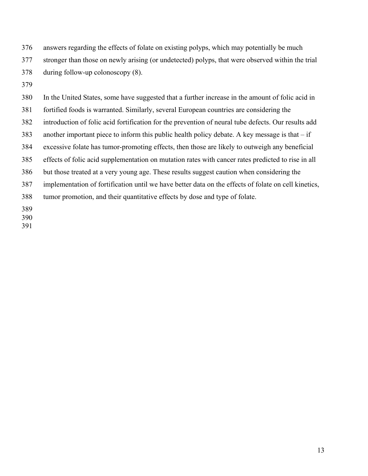376 377 378 answers regarding the effects of folate on existing polyps, which may potentially be much stronger than those on newly arising (or undetected) polyps, that were observed within the trial during follow-up colonoscopy (8).

379

380 381 382 383 384 385 386 387 388 389 In the United States, some have suggested that a further increase in the amount of folic acid in fortified foods is warranted. Similarly, several European countries are considering the introduction of folic acid fortification for the prevention of neural tube defects. Our results add another important piece to inform this public health policy debate. A key message is that  $-$  if excessive folate has tumor-promoting effects, then those are likely to outweigh any beneficial effects of folic acid supplementation on mutation rates with cancer rates predicted to rise in all but those treated at a very young age. These results suggest caution when considering the implementation of fortification until we have better data on the effects of folate on cell kinetics, tumor promotion, and their quantitative effects by dose and type of folate.

390

391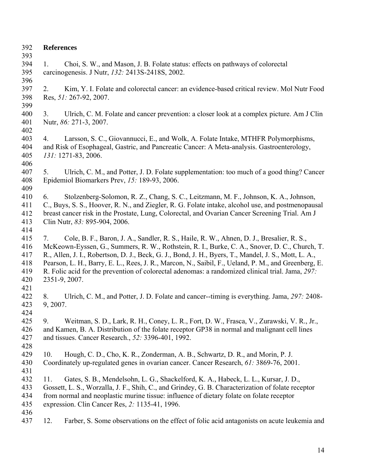392 **References**  393 394 395 396 397 398 399 400 401 402 403 404 405 406 407 5. Ulrich, C. M., and Potter, J. D. Folate supplementation: too much of a good thing? Cancer 408 409 410 411 412 413 414 415 416 417 418 419 420 421 422 423 424 425 426 427 428 429 430 431 432 433 434 435 436 437 1. Choi, S. W., and Mason, J. B. Folate status: effects on pathways of colorectal carcinogenesis. J Nutr, *132:* 2413S-2418S, 2002. 2. Kim, Y. I. Folate and colorectal cancer: an evidence-based critical review. Mol Nutr Food Res, *51:* 267-92, 2007. 3. Ulrich, C. M. Folate and cancer prevention: a closer look at a complex picture. Am J Clin Nutr, *86:* 271-3, 2007. 4. Larsson, S. C., Giovannucci, E., and Wolk, A. Folate Intake, MTHFR Polymorphisms, and Risk of Esophageal, Gastric, and Pancreatic Cancer: A Meta-analysis. Gastroenterology, *131:* 1271-83, 2006. Epidemiol Biomarkers Prev, *15:* 189-93, 2006. 6. Stolzenberg-Solomon, R. Z., Chang, S. C., Leitzmann, M. F., Johnson, K. A., Johnson, C., Buys, S. S., Hoover, R. N., and Ziegler, R. G. Folate intake, alcohol use, and postmenopausal breast cancer risk in the Prostate, Lung, Colorectal, and Ovarian Cancer Screening Trial. Am J Clin Nutr, *83:* 895-904, 2006. 7. Cole, B. F., Baron, J. A., Sandler, R. S., Haile, R. W., Ahnen, D. J., Bresalier, R. S., McKeown-Eyssen, G., Summers, R. W., Rothstein, R. I., Burke, C. A., Snover, D. C., Church, T. R., Allen, J. I., Robertson, D. J., Beck, G. J., Bond, J. H., Byers, T., Mandel, J. S., Mott, L. A., Pearson, L. H., Barry, E. L., Rees, J. R., Marcon, N., Saibil, F., Ueland, P. M., and Greenberg, E. R. Folic acid for the prevention of colorectal adenomas: a randomized clinical trial. Jama, *297:* 2351-9, 2007. 8. Ulrich, C. M., and Potter, J. D. Folate and cancer--timing is everything. Jama, *297:* 2408- 9, 2007. 9. Weitman, S. D., Lark, R. H., Coney, L. R., Fort, D. W., Frasca, V., Zurawski, V. R., Jr., and Kamen, B. A. Distribution of the folate receptor GP38 in normal and malignant cell lines and tissues. Cancer Research., *52:* 3396-401, 1992. 10. Hough, C. D., Cho, K. R., Zonderman, A. B., Schwartz, D. R., and Morin, P. J. Coordinately up-regulated genes in ovarian cancer. Cancer Research, *61:* 3869-76, 2001. 11. Gates, S. B., Mendelsohn, L. G., Shackelford, K. A., Habeck, L. L., Kursar, J. D., Gossett, L. S., Worzalla, J. F., Shih, C., and Grindey, G. B. Characterization of folate receptor from normal and neoplastic murine tissue: influence of dietary folate on folate receptor expression. Clin Cancer Res, *2:* 1135-41, 1996. 12. Farber, S. Some observations on the effect of folic acid antagonists on acute leukemia and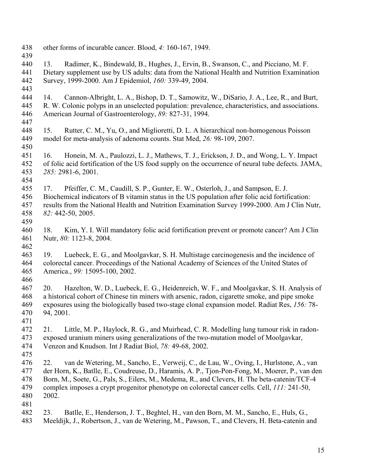438 other forms of incurable cancer. Blood, *4:* 160-167, 1949. 439 440 441 442 443 444 445 446 447 448 449 450 451 452 453 454 455 456 457 458 459 460 461 462 463 464 465 466 467 468 469 470 471 472 473 474 475 476 477 478 479 480 481 482 483 13. Radimer, K., Bindewald, B., Hughes, J., Ervin, B., Swanson, C., and Picciano, M. F. Dietary supplement use by US adults: data from the National Health and Nutrition Examination Survey, 1999-2000. Am J Epidemiol, *160:* 339-49, 2004. 14. Cannon-Albright, L. A., Bishop, D. T., Samowitz, W., DiSario, J. A., Lee, R., and Burt, R. W. Colonic polyps in an unselected population: prevalence, characteristics, and associations. American Journal of Gastroenterology, *89:* 827-31, 1994. 15. Rutter, C. M., Yu, O., and Miglioretti, D. L. A hierarchical non-homogenous Poisson model for meta-analysis of adenoma counts. Stat Med, *26:* 98-109, 2007. 16. Honein, M. A., Paulozzi, L. J., Mathews, T. J., Erickson, J. D., and Wong, L. Y. Impact of folic acid fortification of the US food supply on the occurrence of neural tube defects. JAMA, *285:* 2981-6, 2001. 17. Pfeiffer, C. M., Caudill, S. P., Gunter, E. W., Osterloh, J., and Sampson, E. J. Biochemical indicators of B vitamin status in the US population after folic acid fortification: results from the National Health and Nutrition Examination Survey 1999-2000. Am J Clin Nutr, *82:* 442-50, 2005. 18. Kim, Y. I. Will mandatory folic acid fortification prevent or promote cancer? Am J Clin Nutr, *80:* 1123-8, 2004. 19. Luebeck, E. G., and Moolgavkar, S. H. Multistage carcinogenesis and the incidence of colorectal cancer. Proceedings of the National Academy of Sciences of the United States of America., *99:* 15095-100, 2002. 20. Hazelton, W. D., Luebeck, E. G., Heidenreich, W. F., and Moolgavkar, S. H. Analysis of a historical cohort of Chinese tin miners with arsenic, radon, cigarette smoke, and pipe smoke exposures using the biologically based two-stage clonal expansion model. Radiat Res, *156:* 78- 94, 2001. 21. Little, M. P., Haylock, R. G., and Muirhead, C. R. Modelling lung tumour risk in radonexposed uranium miners using generalizations of the two-mutation model of Moolgavkar, Venzon and Knudson. Int J Radiat Biol, *78:* 49-68, 2002. 22. van de Wetering, M., Sancho, E., Verweij, C., de Lau, W., Oving, I., Hurlstone, A., van der Horn, K., Batlle, E., Coudreuse, D., Haramis, A. P., Tjon-Pon-Fong, M., Moerer, P., van den Born, M., Soete, G., Pals, S., Eilers, M., Medema, R., and Clevers, H. The beta-catenin/TCF-4 complex imposes a crypt progenitor phenotype on colorectal cancer cells. Cell, *111:* 241-50, 2002. 23. Batlle, E., Henderson, J. T., Beghtel, H., van den Born, M. M., Sancho, E., Huls, G., Meeldijk, J., Robertson, J., van de Wetering, M., Pawson, T., and Clevers, H. Beta-catenin and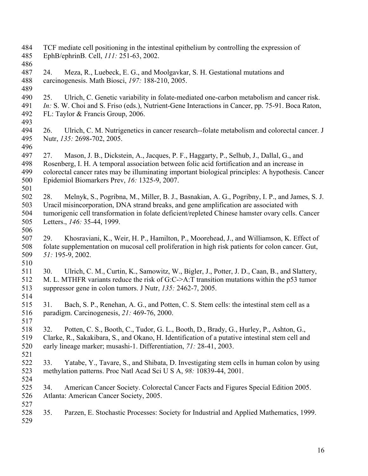484 485 486 487 488 489 490 491 492 493 494 495 496 497 498 499 500 501 502 503 504 505 506 507 508 509 510 511 512 513 514 515 516 517 518 519 520 521 522 523 524 525 526 527 528 529 TCF mediate cell positioning in the intestinal epithelium by controlling the expression of EphB/ephrinB. Cell, *111:* 251-63, 2002. 24. Meza, R., Luebeck, E. G., and Moolgavkar, S. H. Gestational mutations and carcinogenesis. Math Biosci, *197:* 188-210, 2005. 25. Ulrich, C. Genetic variability in folate-mediated one-carbon metabolism and cancer risk. *In:* S. W. Choi and S. Friso (eds.), Nutrient-Gene Interactions in Cancer, pp. 75-91. Boca Raton, FL: Taylor & Francis Group, 2006. 26. Ulrich, C. M. Nutrigenetics in cancer research--folate metabolism and colorectal cancer. J Nutr, *135:* 2698-702, 2005. 27. Mason, J. B., Dickstein, A., Jacques, P. F., Haggarty, P., Selhub, J., Dallal, G., and Rosenberg, I. H. A temporal association between folic acid fortification and an increase in colorectal cancer rates may be illuminating important biological principles: A hypothesis. Cancer Epidemiol Biomarkers Prev, *16:* 1325-9, 2007. 28. Melnyk, S., Pogribna, M., Miller, B. J., Basnakian, A. G., Pogribny, I. P., and James, S. J. Uracil misincorporation, DNA strand breaks, and gene amplification are associated with tumorigenic cell transformation in folate deficient/repleted Chinese hamster ovary cells. Cancer Letters., *146:* 35-44, 1999. 29. Khosraviani, K., Weir, H. P., Hamilton, P., Moorehead, J., and Williamson, K. Effect of folate supplementation on mucosal cell proliferation in high risk patients for colon cancer. Gut, *51:* 195-9, 2002. 30. Ulrich, C. M., Curtin, K., Samowitz, W., Bigler, J., Potter, J. D., Caan, B., and Slattery, M. L. MTHFR variants reduce the risk of G:C->A:T transition mutations within the p53 tumor suppressor gene in colon tumors. J Nutr, *135:* 2462-7, 2005. 31. Bach, S. P., Renehan, A. G., and Potten, C. S. Stem cells: the intestinal stem cell as a paradigm. Carcinogenesis, *21:* 469-76, 2000. 32. Potten, C. S., Booth, C., Tudor, G. L., Booth, D., Brady, G., Hurley, P., Ashton, G., Clarke, R., Sakakibara, S., and Okano, H. Identification of a putative intestinal stem cell and early lineage marker; musashi-1. Differentiation, *71:* 28-41, 2003. 33. Yatabe, Y., Tavare, S., and Shibata, D. Investigating stem cells in human colon by using methylation patterns. Proc Natl Acad Sci U S A, *98:* 10839-44, 2001. 34. American Cancer Society. Colorectal Cancer Facts and Figures Special Edition 2005. Atlanta: American Cancer Society, 2005. 35. Parzen, E. Stochastic Processes: Society for Industrial and Applied Mathematics, 1999.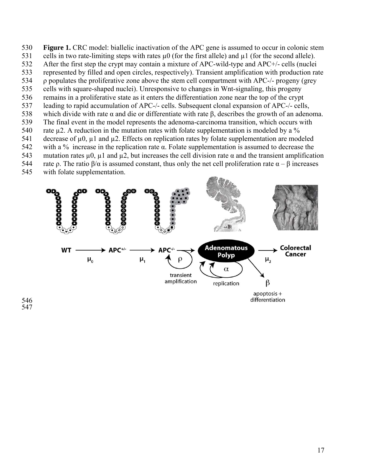- 530 **Figure 1.** CRC model: biallelic inactivation of the APC gene is assumed to occur in colonic stem
- 531 cells in two rate-limiting steps with rates  $\mu$ 0 (for the first allele) and  $\mu$ 1 (for the second allele).
- 532 After the first step the crypt may contain a mixture of APC-wild-type and APC+/- cells (nuclei
- 533 534 represented by filled and open circles, respectively). Transient amplification with production rate ρ populates the proliferative zone above the stem cell compartment with APC-/- progeny (grey
- 535 cells with square-shaped nuclei). Unresponsive to changes in Wnt-signaling, this progeny
- 536 remains in a proliferative state as it enters the differentiation zone near the top of the crypt
- 537 leading to rapid accumulation of APC-/- cells. Subsequent clonal expansion of APC-/- cells,
- 538 which divide with rate  $\alpha$  and die or differentiate with rate  $\beta$ , describes the growth of an adenoma.
- 539 The final event in the model represents the adenoma-carcinoma transition, which occurs with
- 540 rate  $\mu$ 2. A reduction in the mutation rates with folate supplementation is modeled by a %
- 541 decrease of  $\mu$ 0,  $\mu$ 1 and  $\mu$ 2. Effects on replication rates by folate supplementation are modeled
- 542 543 with a % increase in the replication rate  $\alpha$ . Folate supplementation is assumed to decrease the mutation rates  $\mu$ ,  $\mu$ 1 and  $\mu$ 2, but increases the cell division rate  $\alpha$  and the transient amplification
- 544 rate ρ. The ratio β/α is assumed constant, thus only the net cell proliferation rate  $\alpha - \beta$  increases
- 545 with folate supplementation.



546 547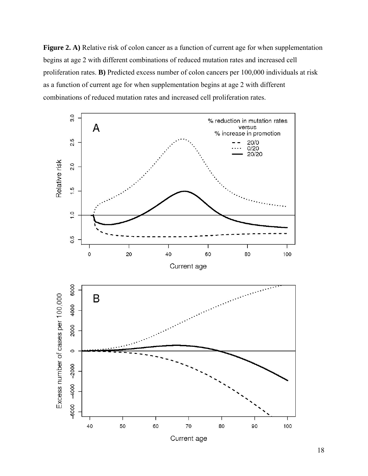**Figure 2. A)** Relative risk of colon cancer as a function of current age for when supplementation begins at age 2 with different combinations of reduced mutation rates and increased cell proliferation rates. **B)** Predicted excess number of colon cancers per 100,000 individuals at risk as a function of current age for when supplementation begins at age 2 with different combinations of reduced mutation rates and increased cell proliferation rates.

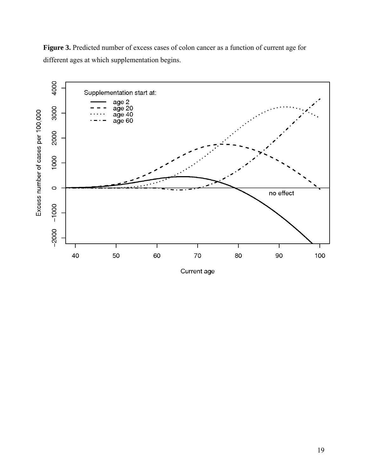Figure 3. Predicted number of excess cases of colon cancer as a function of current age for different ages at which supplementation begins.



Current age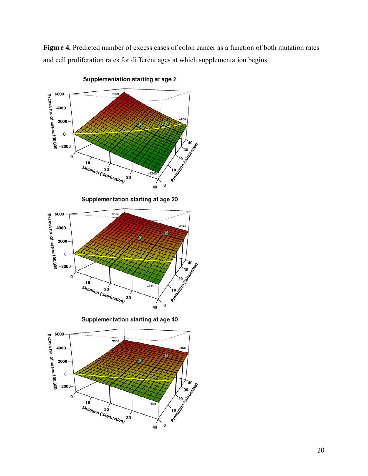Figure 4. Predicted number of excess cases of colon cancer as a function of both mutation rates and cell proliferation rates for different ages at which supplementation begins.



Supplementation starting at age 2

Supplementation starting at age 20



Supplementation starting at age 40

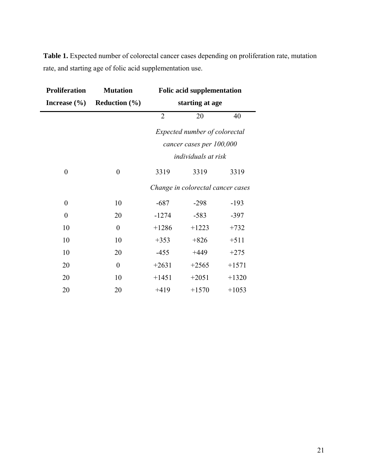**Table 1.** Expected number of colorectal cancer cases depending on proliferation rate, mutation rate, and starting age of folic acid supplementation use.

| <b>Proliferation</b> | <b>Mutation</b>          | <b>Folic acid supplementation</b> |         |         |
|----------------------|--------------------------|-----------------------------------|---------|---------|
| Increase $(\% )$     | <b>Reduction</b> $(\% )$ | starting at age                   |         |         |
|                      |                          | $\overline{2}$                    | 20      | 40      |
|                      |                          | Expected number of colorectal     |         |         |
|                      |                          | cancer cases per 100,000          |         |         |
|                      |                          | <i>individuals at risk</i>        |         |         |
| $\boldsymbol{0}$     | $\boldsymbol{0}$         | 3319                              | 3319    | 3319    |
|                      |                          | Change in colorectal cancer cases |         |         |
| $\boldsymbol{0}$     | 10                       | $-687$                            | $-298$  | $-193$  |
| $\boldsymbol{0}$     | 20                       | $-1274$                           | $-583$  | $-397$  |
| 10                   | $\theta$                 | $+1286$                           | $+1223$ | $+732$  |
| 10                   | 10                       | $+353$                            | $+826$  | $+511$  |
| 10                   | 20                       | $-455$                            | $+449$  | $+275$  |
| 20                   | $\boldsymbol{0}$         | $+2631$                           | $+2565$ | $+1571$ |
| 20                   | 10                       | $+1451$                           | $+2051$ | $+1320$ |
| 20                   | 20                       | $+419$                            | $+1570$ | $+1053$ |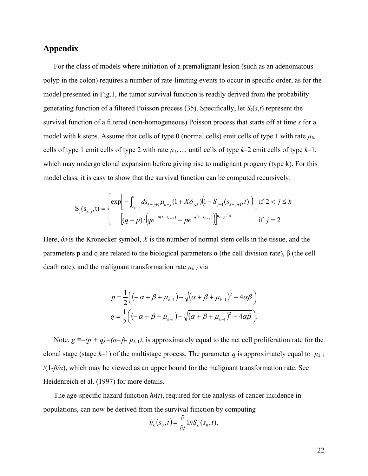# **Appendix**

For the class of models where initiation of a premalignant lesion (such as an adenomatous polyp in the colon) requires a number of rate-limiting events to occur in specific order, as for the model presented in Fig.1, the tumor survival function is readily derived from the probability generating function of a filtered Poisson process (35). Specifically, let *Sk*(*s*,*t*) represent the survival function of a filtered (non-homogeneous) Poisson process that starts off at time *s* for a model with k steps. Assume that cells of type 0 (normal cells) emit cells of type 1 with rate *µ0,* cells of type 1 emit cells of type 2 with rate  $\mu_1$ , ..., until cells of type  $k-2$  emit cells of type  $k-1$ , which may undergo clonal expansion before giving rise to malignant progeny (type k). For this model class, it is easy to show that the survival function can be computed recursively:

$$
S_j(s_{k,j},t) = \begin{cases} exp\left[-\int_{s_{k-j}}^t ds_{k-j+1} \mu_{k-j} (1+X\delta_{j,k}) (1-S_{j-1}(s_{k-j+1},t))\right] \text{if } 2 < j \le k\\ (q-p) / (qe^{-p(t-s_{k-j})} - pe^{-q(t-s_{k-j})})\right]^{u_{k-j}/\alpha} \text{if } j = 2 \end{cases}
$$

Here,  $\delta_{ik}$  is the Kronecker symbol, X is the number of normal stem cells in the tissue, and the parameters p and q are related to the biological parameters α (the cell division rate), β (the cell death rate), and the malignant transformation rate  $\mu_{k-1}$  via

$$
p = \frac{1}{2} \Big( \Big( -\alpha + \beta + \mu_{k-1} \Big) - \sqrt{(\alpha + \beta + \mu_{k-1})^2 - 4\alpha\beta} \Big)
$$
  

$$
q = \frac{1}{2} \Big( \Big( -\alpha + \beta + \mu_{k-1} \Big) + \sqrt{(\alpha + \beta + \mu_{k-1})^2 - 4\alpha\beta} \Big).
$$

Note,  $g \equiv -(p + q) = (\alpha - \beta - \mu_{k-1})$ , is approximately equal to the net cell proliferation rate for the clonal stage (stage  $k-1$ ) of the multistage process. The parameter *q* is approximately equal to  $\mu_{k-1}$  $/(1-\beta/\alpha)$ , which may be viewed as an upper bound for the malignant transformation rate. See Heidenreich et al. (1997) for more details.

The age-specific hazard function *hk*(*t*), required for the analysis of cancer incidence in populations, can now be derived from the survival function by computing

$$
h_k(s_0,t) = \frac{\partial}{\partial t} \ln S_k(s_0,t),
$$